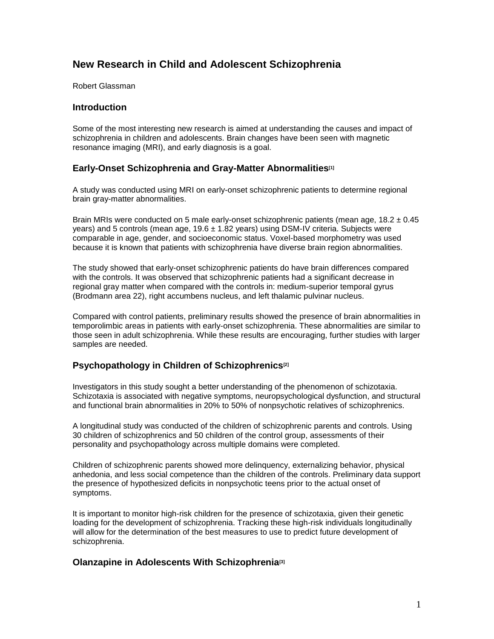# **New Research in Child and Adolescent Schizophrenia**

Robert Glassman

#### **Introduction**

Some of the most interesting new research is aimed at understanding the causes and impact of schizophrenia in children and adolescents. Brain changes have been seen with magnetic resonance imaging (MRI), and early diagnosis is a goal.

# **Early-Onset Schizophrenia and Gray-Matter Abnormalities[1]**

A study was conducted using MRI on early-onset schizophrenic patients to determine regional brain gray-matter abnormalities.

Brain MRIs were conducted on 5 male early-onset schizophrenic patients (mean age,  $18.2 \pm 0.45$ ) years) and 5 controls (mean age, 19.6 ± 1.82 years) using DSM-IV criteria. Subjects were comparable in age, gender, and socioeconomic status. Voxel-based morphometry was used because it is known that patients with schizophrenia have diverse brain region abnormalities.

The study showed that early-onset schizophrenic patients do have brain differences compared with the controls. It was observed that schizophrenic patients had a significant decrease in regional gray matter when compared with the controls in: medium-superior temporal gyrus (Brodmann area 22), right accumbens nucleus, and left thalamic pulvinar nucleus.

Compared with control patients, preliminary results showed the presence of brain abnormalities in temporolimbic areas in patients with early-onset schizophrenia. These abnormalities are similar to those seen in adult schizophrenia. While these results are encouraging, further studies with larger samples are needed.

### **Psychopathology in Children of Schizophrenics[2]**

Investigators in this study sought a better understanding of the phenomenon of schizotaxia. Schizotaxia is associated with negative symptoms, neuropsychological dysfunction, and structural and functional brain abnormalities in 20% to 50% of nonpsychotic relatives of schizophrenics.

A longitudinal study was conducted of the children of schizophrenic parents and controls. Using 30 children of schizophrenics and 50 children of the control group, assessments of their personality and psychopathology across multiple domains were completed.

Children of schizophrenic parents showed more delinquency, externalizing behavior, physical anhedonia, and less social competence than the children of the controls. Preliminary data support the presence of hypothesized deficits in nonpsychotic teens prior to the actual onset of symptoms.

It is important to monitor high-risk children for the presence of schizotaxia, given their genetic loading for the development of schizophrenia. Tracking these high-risk individuals longitudinally will allow for the determination of the best measures to use to predict future development of schizophrenia.

### **Olanzapine in Adolescents With Schizophrenia[3]**